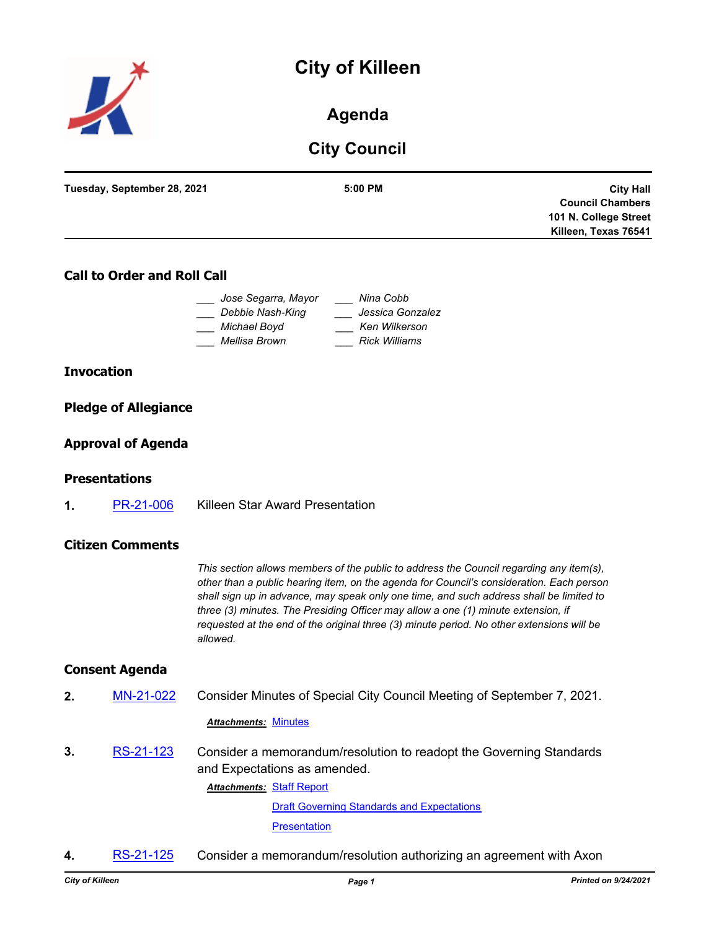# **City of Killeen**



**Agenda**

# **City Council**

| Tuesday, September 28, 2021<br>$5:00$ PM<br><b>Council Chambers</b><br>101 N. College Street | <b>City Hall</b> |
|----------------------------------------------------------------------------------------------|------------------|
|                                                                                              |                  |
|                                                                                              |                  |
|                                                                                              |                  |
| Killeen, Texas 76541                                                                         |                  |

# **Call to Order and Roll Call**

| Jose Segarra, Mayor | Nina Cobb            |
|---------------------|----------------------|
| Debbie Nash-King    | Jessica Gonzalez     |
| Michael Boyd        | Ken Wilkerson        |
| Mellisa Brown       | <b>Rick Williams</b> |

#### **Invocation**

#### **Pledge of Allegiance**

#### **Approval of Agenda**

#### **Presentations**

**1.** [PR-21-006](http://killeen.legistar.com/gateway.aspx?m=l&id=/matter.aspx?key=5632) Killeen Star Award Presentation

#### **Citizen Comments**

*This section allows members of the public to address the Council regarding any item(s), other than a public hearing item, on the agenda for Council's consideration. Each person shall sign up in advance, may speak only one time, and such address shall be limited to three (3) minutes. The Presiding Officer may allow a one (1) minute extension, if requested at the end of the original three (3) minute period. No other extensions will be allowed.*

#### **Consent Agenda**

**2.** [MN-21-022](http://killeen.legistar.com/gateway.aspx?m=l&id=/matter.aspx?key=5697) Consider Minutes of Special City Council Meeting of September 7, 2021.

#### *Attachments:* [Minutes](http://killeen.legistar.com/gateway.aspx?M=F&ID=e37a580e-2731-4215-93d4-0a623c00d30e.pdf)

**3.** [RS-21-123](http://killeen.legistar.com/gateway.aspx?m=l&id=/matter.aspx?key=5710) Consider a memorandum/resolution to readopt the Governing Standards and Expectations as amended.

**Attachments: [Staff Report](http://killeen.legistar.com/gateway.aspx?M=F&ID=4ee8292a-aafa-4e34-8340-9baaa1bb704c.pdf)** 

[Draft Governing Standards and Expectations](http://killeen.legistar.com/gateway.aspx?M=F&ID=54305024-26b1-4d3a-8f25-35e6756866fb.pdf) **[Presentation](http://killeen.legistar.com/gateway.aspx?M=F&ID=671926cc-dff5-4207-8c9f-9741634957a2.pdf)** 

**4.** [RS-21-125](http://killeen.legistar.com/gateway.aspx?m=l&id=/matter.aspx?key=5703) Consider a memorandum/resolution authorizing an agreement with Axon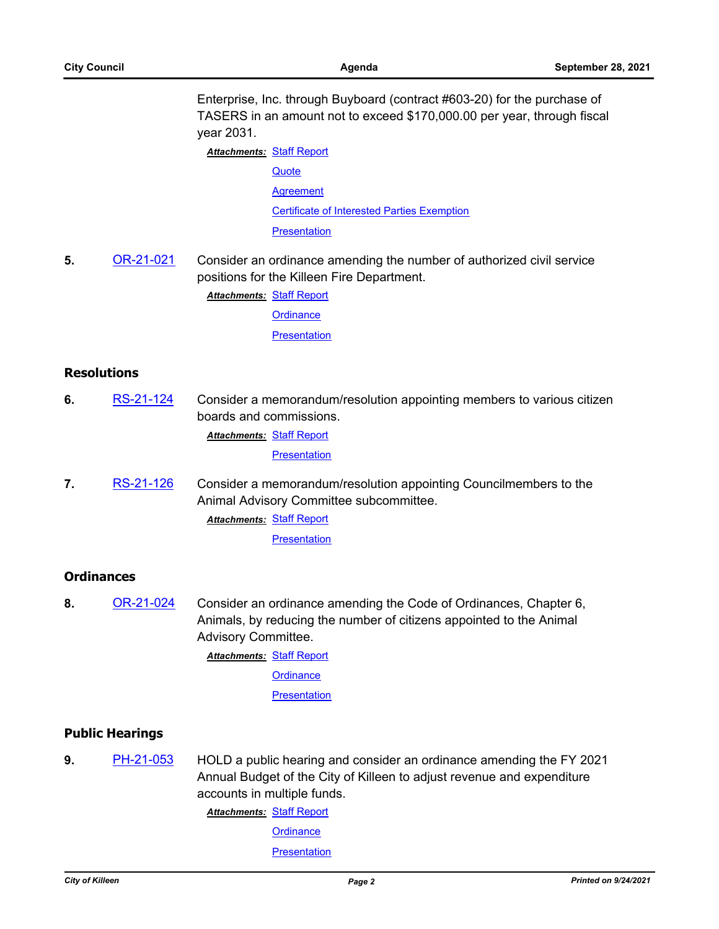Enterprise, Inc. through Buyboard (contract #603-20) for the purchase of TASERS in an amount not to exceed \$170,000.00 per year, through fiscal year 2031.

**Attachments: [Staff Report](http://killeen.legistar.com/gateway.aspx?M=F&ID=6f245acb-bc86-4348-9d74-20cd43d2fabb.pdf) [Quote](http://killeen.legistar.com/gateway.aspx?M=F&ID=2436dd83-f104-42be-9a67-afa6ef300d5a.pdf) [Agreement](http://killeen.legistar.com/gateway.aspx?M=F&ID=29762cf1-c196-4519-ad5d-1699f16fe9b8.pdf)** [Certificate of Interested Parties Exemption](http://killeen.legistar.com/gateway.aspx?M=F&ID=b921eaa6-e6ef-4684-a707-9c5015a2e3f0.pdf) **[Presentation](http://killeen.legistar.com/gateway.aspx?M=F&ID=03e067e1-c519-43cd-a7d7-89197b2cfb3d.pdf)** 

**5.** [OR-21-021](http://killeen.legistar.com/gateway.aspx?m=l&id=/matter.aspx?key=5689) Consider an ordinance amending the number of authorized civil service positions for the Killeen Fire Department.

**Attachments: [Staff Report](http://killeen.legistar.com/gateway.aspx?M=F&ID=4b49fa20-21ec-47e6-8321-64396ba415a9.pdf)** 

**[Ordinance](http://killeen.legistar.com/gateway.aspx?M=F&ID=da01c852-783c-4bad-9e15-6e705a9e7199.pdf)** 

**[Presentation](http://killeen.legistar.com/gateway.aspx?M=F&ID=ce2c3767-1dd2-4e99-a31d-5a4048518a17.pdf)** 

#### **Resolutions**

**6.** [RS-21-124](http://killeen.legistar.com/gateway.aspx?m=l&id=/matter.aspx?key=5662) Consider a memorandum/resolution appointing members to various citizen boards and commissions. **Attachments: [Staff Report](http://killeen.legistar.com/gateway.aspx?M=F&ID=1e4848bc-a1ef-43a0-9c2d-8dd3aafa6edb.pdf)** 

**[Presentation](http://killeen.legistar.com/gateway.aspx?M=F&ID=b94e6d39-e1e2-4f4e-bf09-15175a8affd0.pdf)** 

**7.** [RS-21-126](http://killeen.legistar.com/gateway.aspx?m=l&id=/matter.aspx?key=5734) Consider a memorandum/resolution appointing Councilmembers to the Animal Advisory Committee subcommittee. **Attachments: [Staff Report](http://killeen.legistar.com/gateway.aspx?M=F&ID=ac3cdb7d-cd1c-43f2-823e-a64bb6314e07.pdf)** 

**[Presentation](http://killeen.legistar.com/gateway.aspx?M=F&ID=3fc19eba-adce-4811-8404-ece4522346c1.pdf)** 

# **Ordinances**

**8.** [OR-21-024](http://killeen.legistar.com/gateway.aspx?m=l&id=/matter.aspx?key=5733) Consider an ordinance amending the Code of Ordinances, Chapter 6, Animals, by reducing the number of citizens appointed to the Animal Advisory Committee.

**Attachments: [Staff Report](http://killeen.legistar.com/gateway.aspx?M=F&ID=7e3c5c2f-5161-4960-a3fd-9566191a128e.pdf)** 

**[Ordinance](http://killeen.legistar.com/gateway.aspx?M=F&ID=41300c9c-c39c-4af1-8b65-b9d1cb583253.pdf)** 

**[Presentation](http://killeen.legistar.com/gateway.aspx?M=F&ID=65310158-9696-415a-a405-28cec3b1ab4f.pdf)** 

#### **Public Hearings**

**9.** [PH-21-053](http://killeen.legistar.com/gateway.aspx?m=l&id=/matter.aspx?key=5639) HOLD a public hearing and consider an ordinance amending the FY 2021 Annual Budget of the City of Killeen to adjust revenue and expenditure accounts in multiple funds.

**Attachments: [Staff Report](http://killeen.legistar.com/gateway.aspx?M=F&ID=de001e57-48b8-40c4-9e9b-452ba27bf5ef.pdf)** 

**[Ordinance](http://killeen.legistar.com/gateway.aspx?M=F&ID=cb81e1bd-bb03-44b1-bc2e-fd8497fef27f.pdf)** 

**[Presentation](http://killeen.legistar.com/gateway.aspx?M=F&ID=6f816fb8-a28c-4a5b-924d-f79d1006dfd7.pdf)**